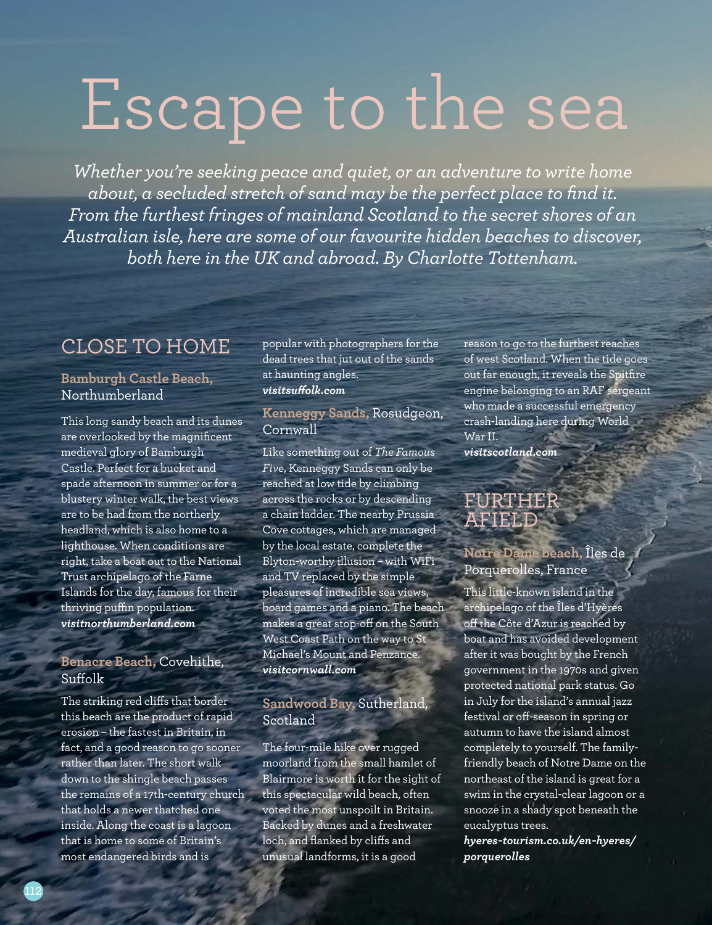# Escape to the sea

*Whether you're seeking peace and quiet, or an adventure to write home about, a secluded stretch of sand may be the perfect place to find it. From the furthest fringes of mainland Scotland to the secret shores of an Australian isle, here are some of our favourite hidden beaches to discover, both here in the UK and abroad. By Charlotte Tottenham.*

# CLOSE TO HOME

#### **Bamburgh Castle Beach,** Northumberland

This long sandy beach and its dunes are overlooked by the magnificent medieval glory of Bamburgh Castle. Perfect for a bucket and spade afternoon in summer or for a blustery winter walk, the best views are to be had from the northerly headland, which is also home to a lighthouse. When conditions are right, take a boat out to the National Trust archipelago of the Farne Islands for the day, famous for their thriving puffin population. *visitnorthumberland.com*

#### **Benacre Beach,** Covehithe, Suffolk

The striking red clifs that border this beach are the product of rapid erosion – the fastest in Britain, in fact, and a good reason to go sooner rather than later. The short walk down to the shingle beach passes the remains of a 17th-century church that holds a newer thatched one inside. Along the coast is a lagoon that is home to some of Britain's most endangered birds and is

popular with photographers for the dead trees that jut out of the sands at haunting angles. *visitsufolk.com*

#### **Kenneggy Sands,** Rosudgeon, Cornwall

Like something out of *The Famous Five*, Kenneggy Sands can only be reached at low tide by climbing across the rocks or by descending a chain ladder. The nearby Prussia Cove cottages, which are managed by the local estate, complete the Blyton-worthy illusion – with WiFi and TV replaced by the simple pleasures of incredible sea views, board games and a piano. The beach makes a great stop-off on the South West Coast Path on the way to St Michael's Mount and Penzance. *visitcornwall.com* 

### **Sandwood Bay,** Sutherland, **Scotland**

The four-mile hike over rugged moorland from the small hamlet of Blairmore is worth it for the sight of this spectacular wild beach, often voted the most unspoilt in Britain. Backed by dunes and a freshwater loch, and flanked by clifs and unusual landforms, it is a good

reason to go to the furthest reaches of west Scotland. When the tide goes out far enough, it reveals the Spitfire engine belonging to an RAF sergeant who made a successful emergency crash-landing here during World War II. *visitscotland.com* 

# FURTHER AFIELD

## **Notre Dame beach,** Îles de Porquerolles, France

This little-known island in the archipelago of the Îles d'Hyères off the Côte d'Azur is reached by boat and has avoided development after it was bought by the French government in the 1970s and given protected national park status. Go in July for the island's annual jazz festival or off-season in spring or autumn to have the island almost completely to yourself. The familyfriendly beach of Notre Dame on the northeast of the island is great for a swim in the crystal-clear lagoon or a snooze in a shady spot beneath the eucalyptus trees.

*hyeres-tourism.co.uk/en-hyeres/ porquerolles*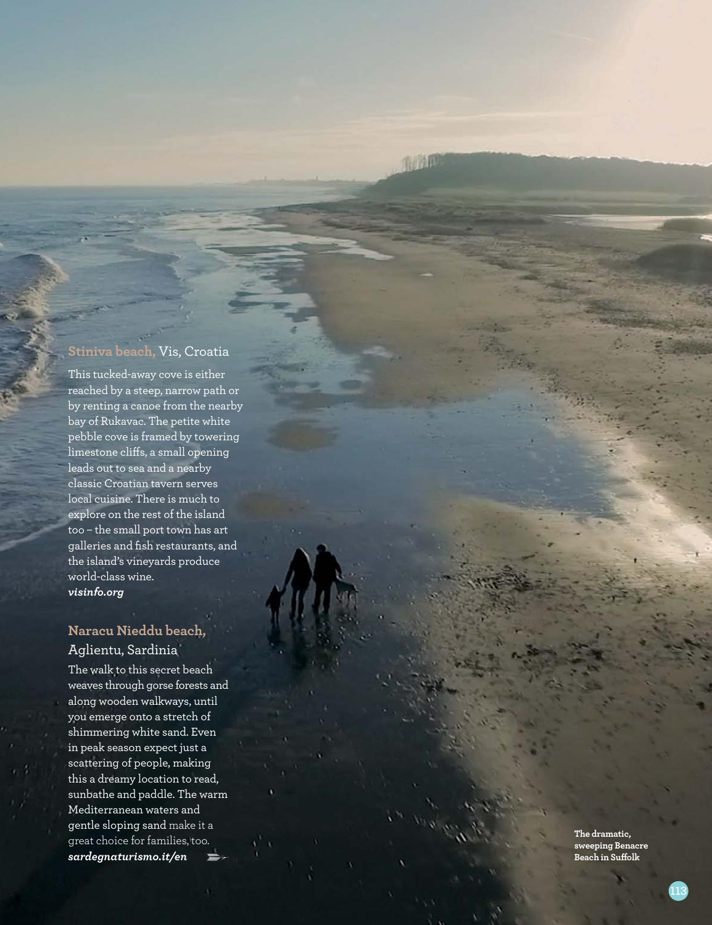#### **Stiniva beach,** Vis, Croatia

市市特用

This tucked-away cove is either reached by a steep, narrow path or by renting a canoe from the nearby bay of Rukavac. The petite white pebble cove is framed by towering limestone cli fs, a small opening leads out to sea and a nearby classic Croatian tavern serves local cuisine. There is much to explore on the rest of the island too – the small port town has art galleries and fish restaurants, and the island's vineyards produce world-class wine. *visinfo.org*

## **Naracu Nieddu beach,**  Aglientu, Sardinia

The walk to this secret beach weaves through gorse forests and along wooden walkways, until you emerge onto a stretch of shimmering white sand. Even in peak season expect just a scattering of people, making this a dreamy location to read, sunbathe and paddle. The warm Mediterranean waters and gentle sloping sand make it a great choice for families, too. *sardegnaturismo.it/en*

**The dramatic, sweeping Benacre Beach in Su folk**

**113**